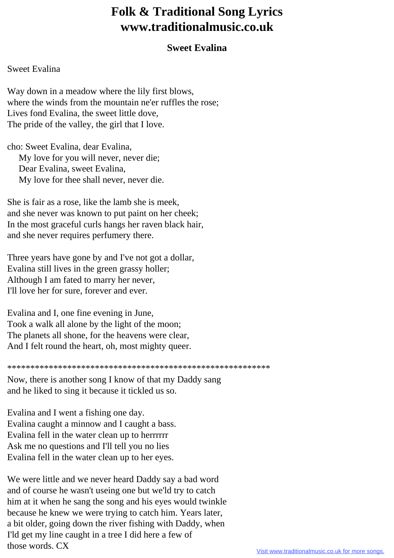## **Folk & Traditional Song Lyrics www.traditionalmusic.co.uk**

## **Sweet Evalina**

## Sweet Evalina

Way down in a meadow where the lily first blows, where the winds from the mountain ne'er ruffles the rose; Lives fond Evalina, the sweet little dove, The pride of the valley, the girl that I love.

cho: Sweet Evalina, dear Evalina, My love for you will never, never die; Dear Evalina, sweet Evalina, My love for thee shall never, never die.

She is fair as a rose, like the lamb she is meek, and she never was known to put paint on her cheek; In the most graceful curls hangs her raven black hair, and she never requires perfumery there.

Three years have gone by and I've not got a dollar, Evalina still lives in the green grassy holler; Although I am fated to marry her never, I'll love her for sure, forever and ever.

Evalina and I, one fine evening in June, Took a walk all alone by the light of the moon; The planets all shone, for the heavens were clear, And I felt round the heart, oh, most mighty queer.

\*\*\*\*\*\*\*\*\*\*\*\*\*\*\*\*\*\*\*\*\*\*\*\*\*\*\*\*\*\*\*\*\*\*\*\*\*\*\*\*\*\*\*\*\*\*\*\*\*\*\*\*\*\*\*\*\*

Now, there is another song I know of that my Daddy sang and he liked to sing it because it tickled us so.

Evalina and I went a fishing one day. Evalina caught a minnow and I caught a bass. Evalina fell in the water clean up to herrrrrr Ask me no questions and I'll tell you no lies Evalina fell in the water clean up to her eyes.

We were little and we never heard Daddy say a bad word and of course he wasn't useing one but we'ld try to catch him at it when he sang the song and his eyes would twinkle because he knew we were trying to catch him. Years later, a bit older, going down the river fishing with Daddy, when I'ld get my line caught in a tree I did here a few of those words. CX